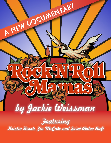

Featuring

Kristin Hersh, Zia McCabe and Su'ad Abdur'Rafi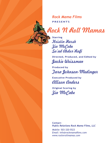**PRESENTS** *Rock Mama Films*

Rock N Roll Mamas

**Starring** Kristin Hersh Zia McCabe Su'ad Abdur'Rafi

**Directed, Produced, and Edited by** Jackie Weissman

**Produced by** Tara Johnson-Medinger

**Executive Produced by** Allison Anders

**Original Scoring by** Zia McCabe

**Contact~** *Public Relations Rock Mama Films, LLC*

*Mobile:* 503-320-5523 *Email:* info@rockmamafilms.com *www.rocknrollmamas.com*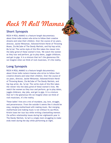## **Short Synopsis**

ROCK N ROLL MAMAS is a feature-length documentary about three indie rockers who strive to follow their creative dreams and raise their children. Over the course of six years, director, Jackie Weissman, followed Kristin Hersh of Throwing Muses, Zia McCabe of The Dandy Warhols, and hip hop artist, Ms.Su'ad. The verite style of this film takes the viewer into the daily grind of these women's lives. We watch the women as they tour and perform, go to play dates, juggle childcare, and get to gigs. It is a mixture that isn't the glamorous life we imagine when we think of rock musicians, it's the reality.

## **Long Synopsis**

ROCK N ROLL MAMAS is a feature-length documentary about three indie rockers/mamas who strive to follow their creative dreams and raise their children. Over the course of six years, director, Jackie Weissman, followed Kristin Hersh of Throwing Muses, Zia McCabe of The Dandy Warhols, and hip hop artist, Ms. Su'ad. The verite style of this film takes the viewer into the daily grind of these women's lives. We watch the women as they tour and perform, go to play dates, juggle childcare, day jobs, and get to gigs. It is a mixture that isn't the glamorous life we imagine when we think of rock musicians, it's the reality.

These ladies' lives are a mix of mundane, joy, love, struggle, and perseverance. From the outside it seems like it should be easy, merging motherhood with making music. But merging motherhood and making music is not without its sacrifices. Kristin loses her tour bus while writing a bestselling memoir. Zia suffers relationship issues during her eighteenth year in The Dandy Warhols. Su'ad is a single mom struggling to make ends meet during the day while performing at night.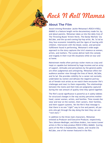

## **About The Film**

Award winning filmmaker Jackie Weissman's ROCK N ROLL MAMAS is a feature length verite documentary made for, by, and about parents. Weissman takes us into the daily lives of The Throwing Muses' Kristin Hersh, The Dandy Warhols' Zia McCabe, and the up-and-coming hip-hop artist, Ms. Su'ad as they face economic instability and the rigors of touring with children. Interwoven with the blood, sweat, and personal fulfillment found in performing, Weissman's wide-angle approach to the story captures the trio's essence as women, artists, and mothers. The scenes deliver both the comedy and tragedy in their true-life situations while on tour and at home.

Mainstream media often portrays rocker moms as crazy and inept or capable but bolstered by huge incomes and an army of support. Attitudes and perceptions by the general public are often judgmental and unforgiving. Weissman offers her audience another view through the lives of Hersh, McCabe, and Su'ad. She provides visibility for a career not normally undertaken by women and defuses the negative portrayals of female rock artists as we watch them encounter life's challenges and react to them responsibly. The relationships between the moms and their kids are poignantly captured during the vast amount of quality time they spend together.

The film's social significance is powerful as it subtly lobbies for structural changes in the way society perceives motherhood, career women, artists, and families. Time reveals the wear and tear on the women, their careers, their families, and their support systems. Yet the film's final message is that there is no one "*right*" way to live and parent; all parents who get through the day doing the best they can are "*rock stars*."

In addition to the three main characters, Weissman enlisted as Producer and Executive Producer, respectively, Tara Johnson-Medinger, and Alison Anders, two moms/career artists in film to help produce ROCK N ROLL MAMAS. Scoring parts of the film is keyboardist, bassist, and vocalist Zia McCabe, one of the women featured in the film.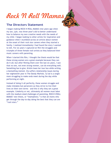## **The Directors Statement**

I began making ROCK N ROLL MAMAS nine years ago when my son, Lyle, was three-year's old to better understand how to balance my own creative needs with the needs of my child. I began looking to other artists for inspiration and guidance when I stumbled across an article about women at the onset of their rock star careers when they started a family. I realized immediately I had found the story I wanted to tell. For six years I captured on film the struggles and triumphs of three female rock artists as they balanced their music careers with parenting.

When I started this film, I thought the thesis would be that these strong women are a great example because they can do it all; but after filming them over the last six years, I saw that no one, not even strong women, can do everything well. Something has to give. Kristin loses her tour bus while writing a bestselling memoir. Zia suffers relationship issues during her eighteenth year in The Dandy Warhols. Su'ad is a single mom struggling to make ends meet during the day while performing at night.

Instead of doing it all perfectly, these women struggle and make mistakes but persevere as they strive to live their lives on their own terms – and this is why they set a great example. Celebrity or not, ultimately all women must labor with the stadium-sized challenges of parenting. ROCK N ROLL MAMAS' new thesis, or "*mamafesto*," is that all moms who get through the day-to-day doing the best that they can are "*rock stars.*"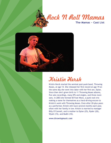## Rock N Roll Mamas **The Mamas ~ Cast List**



# Kristin Hersh

Kristin Hersh started the seminal post-punk band, Throwing Muses, at age 14. She released her first record at age 19 on the same day she went into labor with her first son, Dylan. Since then she's given birth to 11 Throwing Muses albums, five solo recordings, many EPs and singles, and three more sons. In 2003 she formed 50 Foot Wave, a punk rock trio making a name for themselves as a hard-driving encore to Kristin's work with Throwing Muses. Even after 20-plus years as a performer, Kristin still tours several months each year, often with her family in tow. Kristin is married to manager Billy O'Connell, and is mother to Dylan (25), Ryder (20), Wyatt (15), and Bodhi (10).

*www.throwingmusic.com*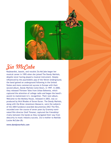

# Zia McCabe

Keyboardist, bassist, and vocalist Zia McCabe began her musical career in 1995 when she joined The Dandy Warhols, despite never having played a musical instrument. Deeply influenced by the psychedelic pop of the Velvet Underground, the band gained an underground following in the United States and more commercial success in Europe with their second album, Dandy Warhols Come Down, in 1997. In 2000, they released Thirteen Tales from Urban Bohemia, which captured the attention of college radio and began the band's ascent to mainstream U.S. recognition. Their next album, Welcome to the Monkey House, released in 2003, was coproduced by Nick Rhodes of Duran Duran. The Dandy Warhols, along with the Brian Jonestown Massacre, were the subjects of the 2004 Sundance-awarded documentary DIG! The film, recorded over the course of seven years by Grammy-nominated film director Ondi Timoner, captured the friendship/ rivalry between the bands as they navigated their way from obscurity to music industry success. Zia is mother to Matilda Louise McCabe (8).

#### *www.dandywarhols.com*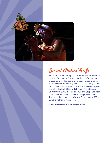

# Su'ad Abdur'Rafi

Ms. Su'ad started her hip hop career in 2003 as a featured artist in The Ramsey Brothers. She has performed in the underground hip hop scene in Portland, Oregon, working with numerous notable regional artists, including Scarub, Asop, Eligh, Murs, Sunspot Jonz of the the Living Legends crew, Eyedea & Abilities, Mykah Nyne, The Lifesavas, Ol Dominion, Sweatshop Union (BC), The Coup, and many others. Her debut solo, "The Urban Superwoman EP: The Urban Superwoman is a Savage," came out in 2004. Su'ad is mother to Moses (12).

*www.myspace.com/urbansuperwoman*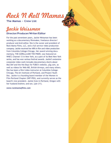**The Mamas ~ Crew List**

## Jackie Weissman

### **Director/Producer/Writer/Editor**

For the past seventeen years, Jackie Weissman has been working as a documentary filmmaker, freelance director/ producer and Avid editor. She is the owner and president of Rock Mama Films, LLC, and a full service video production company. Jackie received her MFA in film and video production from Columbia College-Chicago. Her award winning documentary, THE GORILLA AND THE PIKER, was featured on WNET, Channel 13 in New York, as a part of its Reel New York series, and has won various festival awards. Jackie's extensive corporate video work includes documentary shorts about Mos Def and the Hot Boys for FUBU's website, y2g.com, as well as videos for Web MD, British Airways, and many others. She has been a film/video instructor at Columbia College-Chicago, The Art Institute of Portland, and Project Youth Doc. Jackie is a founding board member of the Women in Film Portland Chapter (WIF-PDX), and currently serves as the board's vice president. Jackie lives in Portland, Oregon with her husband Andrew, and son, Lyle (11).

*www.rockmamafilms.com*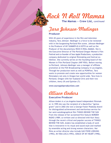**The Mamas ~ Crew List,** *continued*

## Tara Johnson-Medinger

### **Producer**

With 20 years of experience in the film and television industry, Tara Johnson- Medinger is a force to be reckoned with in the burgeoning Portland film scene. Johnson-Medinger is the Producer of MY SUMMER AS A GOTH as well as the Producer of the documentary ROCK N ROLL MAMAS. She is the Executive Director of The Portland Oregon Women's Film Festival and co-founder of Sour Apple Productions, a production company dedicated to original filmmaking and festival exhibition. She currently serves on the founding board of the Women in Film Portland Chapter (WIF-PDX). Before moving to Portland, Johnson-Medinger was a manager of affiliate promotion at the FOX Broadcasting Company in Los Angeles. Through her production work as well as POWFest, Tara wants to promote and create new opportunities for women filmmakers not only in Oregon but world-wide. Tara lives in Portland, Oregon with her husband Chris and their two children, Avery (9) and Quinlan (7).

*www.sourappleproductions.com*

# Allison Anders

### **Executive Producer**

Allison Anders is a Los Angeles-based independent filmmaker. In 1995 she was the recipient of a MacArthur "genius grant" and in 2002 she won a George Foster Peabody Award for distinguished achievement and meritorious service for her semi-autobiographical film THINGS BEHIND THE SUN From the release of her acclaimed first feature BORDER RADIO (1989; co-written and co-directed with Kurt Voss) through the recent critical and popular success of THINGS BEHIND THE SUN, Anders has established a body of work that is innovative in its visual and sound style and marked by ensemble acting and strong women characters. Her films as writer-director also include GAS FOOD LODGING (1992), MI VIDA LOCA (1993), GRACE OF MY HEART (1996),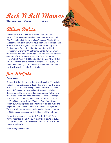**The Mamas ~ Crew List,** *continued*

## Allison Anders

and SUGAR TOWN (1999; co-directed with Kurt Voss). Anders' films have premiered at the Cannes International Film Festival and at the prestigious Sundance Film Festival, and retrospectives of her work have been held in Thessaloniki, Greece; Sheffield, England; and at the Karlovy Vary Film Festival in the Czech Republic. She is a distinguished professor at University Of California, Santa Barbara where she teaches film one quarter a year. Anders has also directed episodes of the TV Shows SEX IN THE CITY, COLD CASE, THE L-WORD, MEN IN TREES, SOUTHLAND, and WHAT ABOUT BRIAN.She is the proud mother of Tiffany (33), Devon, (30) and Ruben Anders (17), and a new grandmother. She lives in Los Angeles with her fella Terry Graham.



### **Composer**

Keyboardist, bassist, percussionist, and vocalist, Zia McCabe began her musical career in 1995 when she joined The Dandy Warhols, despite never having played a musical instrument. Deeply influenced by the psychedelic pop of the Velvet Underground, the band gained an underground following in the United States and more commercial success in Europe with their second album, Dandy Warhols Come Down, in 1997. In 2000, they released Thirteen Tales from Urban Bohemia, which captured the attention of college radio and began the band's ascent to mainstream U.S. recognition. Their next album, Welcome to the Monkey House, released in 2003, was co-produced by Nick Rhodes of Duran Duran.

Zia started a country band, Brush Prairie, in 2009. Brush Prairie recorded the EP, Carry Yourself Back to Me in 2010. Zia dj's under the name DJ Rescue. She is mother to Matilda Louise McCabe (8).

#### *www.dandywarhols.com*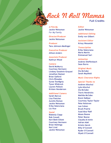

*A Film By* **Jackie Weissman** *For My Family*

*Director/Producer* **Jackie Weissman**

*Producer* **Tara Johnson-Medinger**

*Executive Producer* **Allison Anders**

*Associate Producer* **Kathryn Wood**

#### *Camera*

**David McMurry Courtney Hermann Lindsey Goodwin-Grayzel Jonathan Nastasi Brian Galford Chris Rhoades Suree Towfignia Tyson Wisbrock Lauren Pollock Kristen Henderson**

#### *Additional Camera*

**Sarah Marcus Lisa Fletcher Aurelio Roman Jackie Weissman Erika Valenciana Liz Vice**

#### *Sound*

**Blakesly Clapp Rob Cowalt Keri-Beth Elliott Courtney Hermann Brian Hettinga Karl Lind Jackie Weissman**

*Editor* **Jackie Weissman**

*Additional Editing* **Emily von Gilbert**

*Assistant Editor* **Krissy Wesseloh**

*Transcription* **Erika Valenciana Maria Martin Emmanuel Sari**

*Animation* **Andrew Dieffenbach Sean Burns**

*Original Music* **Zia McCabe Sarah Mayfield**

#### *Music Clearance Rights*

*Special Thanks to* **Andrew Altschul Lyle Altschul Zia McCabe Travis Hendricks Matilda McCabe Brent DeBoer Courtney Taylor-Taylor Pete Holstrom Lee Cohen Brush Prairie Suad Abur'Rafi Moses Boone Peter Boone Claudia Al-Amin Adrian Adel Kristin Hersh Billy O'Connell Ryder O'Connell Wyatt O'Connell**